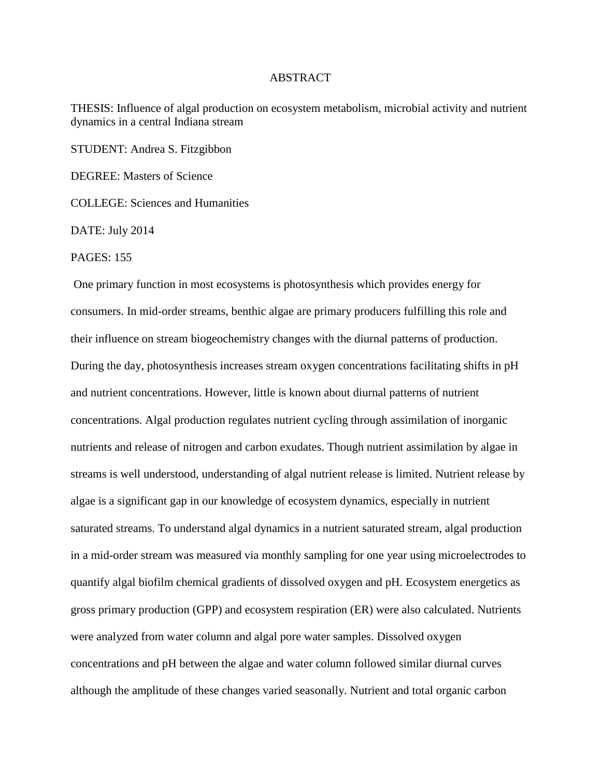## ABSTRACT

THESIS: Influence of algal production on ecosystem metabolism, microbial activity and nutrient dynamics in a central Indiana stream

STUDENT: Andrea S. Fitzgibbon

DEGREE: Masters of Science

COLLEGE: Sciences and Humanities

DATE: July 2014

PAGES: 155

One primary function in most ecosystems is photosynthesis which provides energy for consumers. In mid-order streams, benthic algae are primary producers fulfilling this role and their influence on stream biogeochemistry changes with the diurnal patterns of production. During the day, photosynthesis increases stream oxygen concentrations facilitating shifts in pH and nutrient concentrations. However, little is known about diurnal patterns of nutrient concentrations. Algal production regulates nutrient cycling through assimilation of inorganic nutrients and release of nitrogen and carbon exudates. Though nutrient assimilation by algae in streams is well understood, understanding of algal nutrient release is limited. Nutrient release by algae is a significant gap in our knowledge of ecosystem dynamics, especially in nutrient saturated streams. To understand algal dynamics in a nutrient saturated stream, algal production in a mid-order stream was measured via monthly sampling for one year using microelectrodes to quantify algal biofilm chemical gradients of dissolved oxygen and pH. Ecosystem energetics as gross primary production (GPP) and ecosystem respiration (ER) were also calculated. Nutrients were analyzed from water column and algal pore water samples. Dissolved oxygen concentrations and pH between the algae and water column followed similar diurnal curves although the amplitude of these changes varied seasonally. Nutrient and total organic carbon